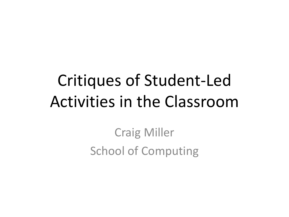## Critiques of Student-Led Activities in the Classroom

Craig Miller School of Computing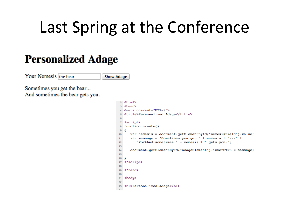#### Last Spring at the Conference

#### **Personalized Adage**

Your Nemesis the bear

**Show Adage** 

Sometimes you get the bear... And sometimes the bear gets you.

```
2 <html>
   <head>
   <meta charset="UTF-8">
   <title>Personalized Adage</title>
   <script>
  function create()
\mathbf{R}\overline{9}-4
      var nemesis = document.getElementById("nemesisField").value;
10
11var message = "Sometimes you get " + nemesis + "..." +
         "<br>And sometimes " + nemesis + " gets you.";
1213
14document.getElementById("adageElement").innerHTML = message;
15
16
  </script>
1718
  </head>
1920
21<body>
22
  <h1>Personalized Adage</h1>
23
```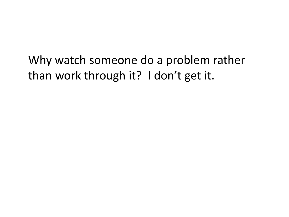Why watch someone do a problem rather than work through it? I don't get it.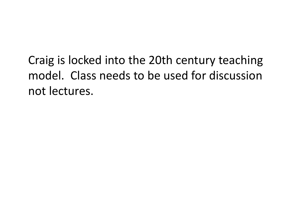Craig is locked into the 20th century teaching model. Class needs to be used for discussion not lectures.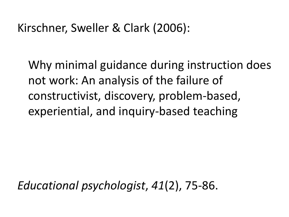#### Kirschner, Sweller & Clark (2006):

Why minimal guidance during instruction does not work: An analysis of the failure of constructivist, discovery, problem-based, experiential, and inquiry-based teaching

*Educational psychologist*, *41*(2), 75-86.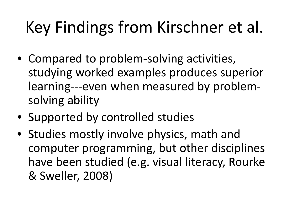# Key Findings from Kirschner et al.

- Compared to problem-solving activities, studying worked examples produces superior learning---even when measured by problemsolving ability
- Supported by controlled studies
- Studies mostly involve physics, math and computer programming, but other disciplines have been studied (e.g. visual literacy, Rourke & Sweller, 2008)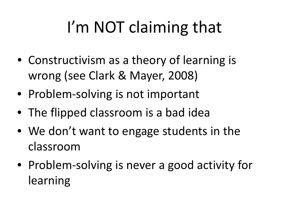# I'm NOT claiming that

- Constructivism as a theory of learning is wrong (see Clark & Mayer, 2008)
- Problem-solving is not important
- The flipped classroom is a bad idea
- We don't want to engage students in the classroom
- Problem-solving is never a good activity for learning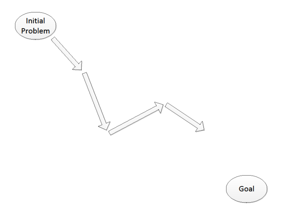

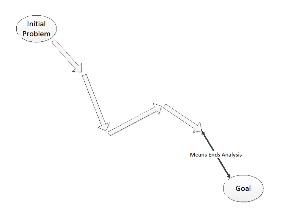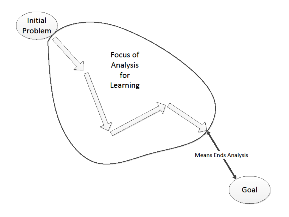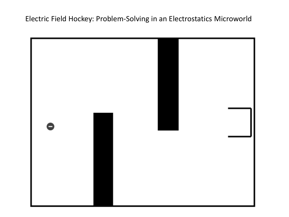Electric Field Hockey: Problem-Solving in an Electrostatics Microworld

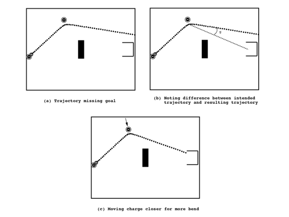





(b) Noting difference between intended<br>trajectory and resulting trajectory

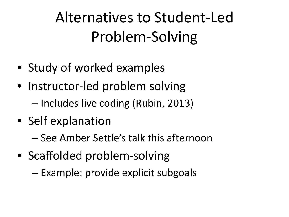Alternatives to Student-Led Problem-Solving

- Study of worked examples
- Instructor-led problem solving
	- Includes live coding (Rubin, 2013)
- Self explanation
	- See Amber Settle's talk this afternoon
- Scaffolded problem-solving
	- Example: provide explicit subgoals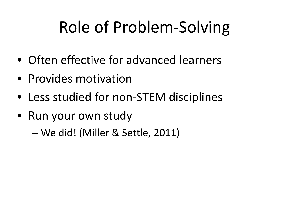## Role of Problem-Solving

- Often effective for advanced learners
- Provides motivation
- Less studied for non-STEM disciplines
- Run your own study

– We did! (Miller & Settle, 2011)